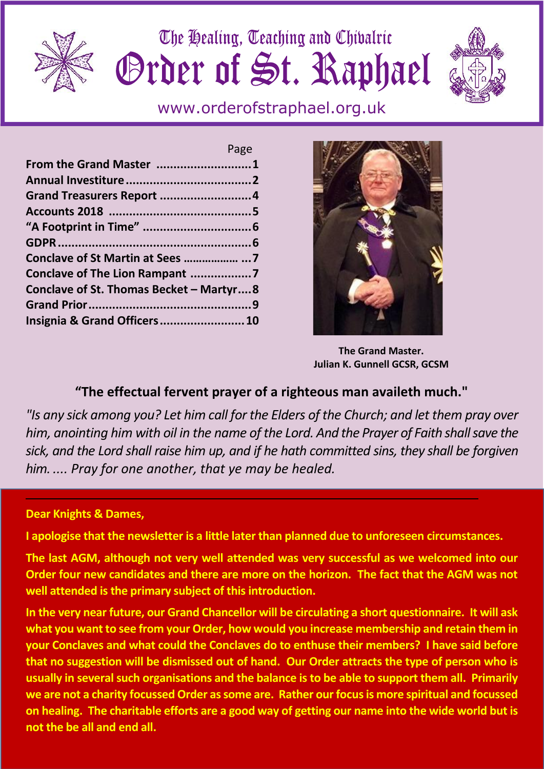

The Healing, Teaching and Chivalric Grder of St. Raphael



www.orderofstraphael.org.uk

|                                         | Page |
|-----------------------------------------|------|
| From the Grand Master 1                 |      |
|                                         |      |
| Grand Treasurers Report 4               |      |
|                                         |      |
|                                         |      |
|                                         |      |
| Conclave of St Martin at Sees   7       |      |
| Conclave of The Lion Rampant 7          |      |
| Conclave of St. Thomas Becket - Martyr8 |      |
|                                         |      |
| Insignia & Grand Officers 10            |      |
|                                         |      |



**The Grand Master. Julian K. Gunnell GCSR, GCSM**

# **"The effectual fervent prayer of a righteous man availeth much."**

*"Is any sick among you? Let him call for the Elders of the Church; and let them pray over him, anointing him with oil in the name of the Lord. And the Prayer of Faith shall save the sick, and the Lord shall raise him up, and if he hath committed sins, they shall be forgiven him. .... Pray for one another, that ye may be healed.*

# **Dear Knights & Dames,**

**I apologise that the newsletter is a little later than planned due to unforeseen circumstances.**

**The last AGM, although not very well attended was very successful as we welcomed into our Order four new candidates and there are more on the horizon. The fact that the AGM was not well attended is the primary subject of this introduction.**

**In the very near future, our Grand Chancellor will be circulating a short questionnaire. It will ask what you want to see from your Order, how would you increase membership and retain them in your Conclaves and what could the Conclaves do to enthuse their members? I have said before that no suggestion will be dismissed out of hand. Our Order attracts the type of person who is usually in several such organisations and the balance is to be able to support them all. Primarily we are not a charity focussed Order as some are. Rather our focus is more spiritual and focussed on healing. The charitable efforts are a good way of getting our name into the wide world but is not the be all and end all.**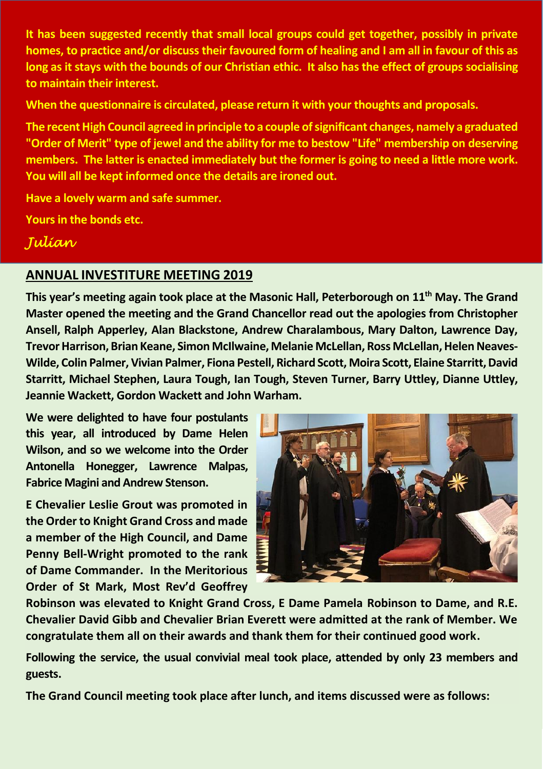**It has been suggested recently that small local groups could get together, possibly in private homes, to practice and/or discuss their favoured form of healing and I am all in favour of this as long as it stays with the bounds of our Christian ethic. It also has the effect of groups socialising to maintain their interest.**

**When the questionnaire is circulated, please return it with your thoughts and proposals.**

**The recent High Council agreed in principle to a couple of significant changes, namely a graduated "Order of Merit" type of jewel and the ability for me to bestow "Life" membership on deserving members. The latter is enacted immediately but the former is going to need a little more work. You will all be kept informed once the details are ironed out.**

**Have a lovely warm and safe summer.**

**Yours in the bonds etc.**

**Julian**

## **ANNUAL INVESTITURE MEETING 2019**

**This year's meeting again took place at the Masonic Hall, Peterborough on 11th May. The Grand Master opened the meeting and the Grand Chancellor read out the apologies from Christopher Ansell, Ralph Apperley, Alan Blackstone, Andrew Charalambous, Mary Dalton, Lawrence Day, Trevor Harrison, Brian Keane, Simon McIlwaine, Melanie McLellan, Ross McLellan, Helen Neaves- Wilde, Colin Palmer, Vivian Palmer, Fiona Pestell, Richard Scott, Moira Scott, Elaine Starritt, David Starritt, Michael Stephen, Laura Tough, Ian Tough, Steven Turner, Barry Uttley, Dianne Uttley, Jeannie Wackett, Gordon Wackett and John Warham.**

**We were delighted to have four postulants this year, all introduced by Dame Helen Wilson, and so we welcome into the Order Antonella Honegger, Lawrence Malpas, Fabrice Magini and Andrew Stenson.**

**E Chevalier Leslie Grout was promoted in the Order to Knight Grand Cross and made a member of the High Council, and Dame Penny Bell-Wright promoted to the rank of Dame Commander. In the Meritorious Order of St Mark, Most Rev'd Geoffrey**



**Robinson was elevated to Knight Grand Cross, E Dame Pamela Robinson to Dame, and R.E. Chevalier David Gibb and Chevalier Brian Everett were admitted at the rank of Member. We congratulate them all on their awards and thank them for their continued good work.**

**Following the service, the usual convivial meal took place, attended by only 23 members and guests.**

**The Grand Council meeting took place after lunch, and items discussed were as follows:**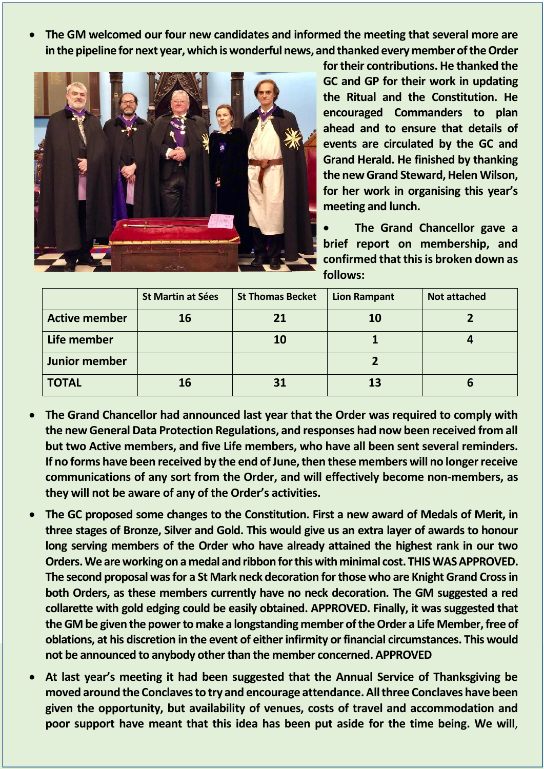**The GM welcomed our four new candidates and informed the meeting that several more are in the pipeline for next year, which is wonderful news, and thanked every member of the Order**



**for their contributions. He thanked the GC and GP for their work in updating the Ritual and the Constitution. He encouraged Commanders to plan ahead and to ensure that details of events are circulated by the GC and Grand Herald. He finished by thanking the new Grand Steward, Helen Wilson, for her work in organising this year's meeting and lunch.**

 **The Grand Chancellor gave a brief report on membership, and confirmed that this is broken down as follows:**

|                      | <b>St Martin at Sées</b> | <b>St Thomas Becket</b> | <b>Lion Rampant</b> | <b>Not attached</b> |
|----------------------|--------------------------|-------------------------|---------------------|---------------------|
| <b>Active member</b> | 16                       | 21                      | 10                  |                     |
| Life member          |                          | <b>10</b>               |                     |                     |
| Junior member        |                          |                         |                     |                     |
| <b>TOTAL</b>         | 16                       | 31                      | 13                  | О                   |

- **The Grand Chancellor had announced last year that the Order was required to comply with the new General Data Protection Regulations, and responses had now been received from all but two Active members, and five Life members, who have all been sent several reminders. If no forms have been received by the end of June, then these members will no longer receive communications of any sort from the Order, and will effectively become non-members, as they will not be aware of any of the Order's activities.**
- **The GC proposed some changes to the Constitution. First a new award of Medals of Merit, in three stages of Bronze, Silver and Gold. This would give us an extra layer of awards to honour long serving members of the Order who have already attained the highest rank in our two Orders. We are working on amedal and ribbon for this with minimal cost. THIS WAS APPROVED. The second proposal was for a St Mark neck decoration for those who are Knight Grand Cross in both Orders, as these members currently have no neck decoration. The GM suggested a red collarette with gold edging could be easily obtained. APPROVED. Finally, it was suggested that the GM be given the power to make a longstanding member of the Order a Life Member, free of oblations, at his discretion in the event of either infirmity or financial circumstances. This would not be announced to anybody other than the member concerned. APPROVED**
- **At last year's meeting it had been suggested that the Annual Service of Thanksgiving be moved around the Conclaves to try and encourage attendance. All three Conclaves have been given the opportunity, but availability of venues, costs of travel and accommodation and poor support have meant that this idea has been put aside for the time being. We will**,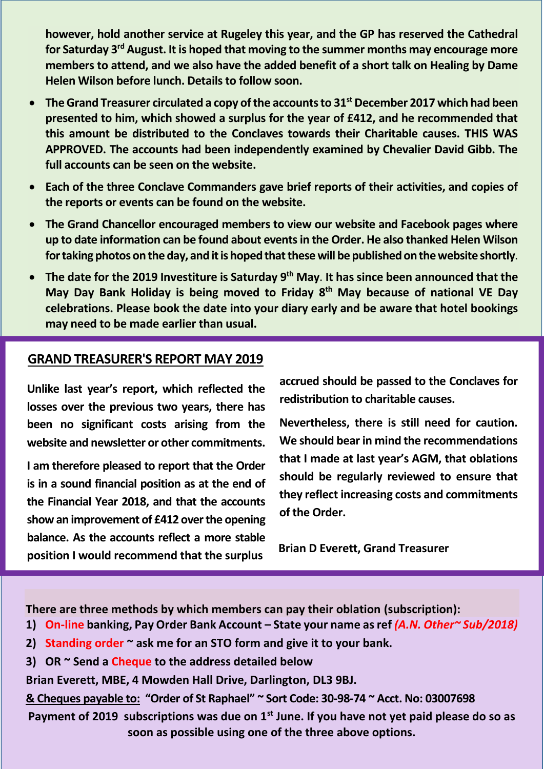**however, hold another service at Rugeley this year, and the GP has reserved the Cathedral for Saturday 3rd August. It is hoped that moving to the summer months may encourage more members to attend, and we also have the added benefit of a short talk on Healing by Dame Helen Wilson before lunch. Details to follow soon.**

- **The Grand Treasurer circulated a copy of the accounts to 31st December 2017 which had been presented to him, which showed a surplus for the year of £412, and he recommended that this amount be distributed to the Conclaves towards their Charitable causes. THIS WAS APPROVED. The accounts had been independently examined by Chevalier David Gibb. The full accounts can be seen on the website.**
- **Each of the three Conclave Commanders gave brief reports of their activities, and copies of the reports or events can be found on the website.**
- **The Grand Chancellor encouraged members to view our website and Facebook pages where up to date information can be found about events in the Order. He also thanked Helen Wilson for taking photos on the day, and it is hoped that these will be published on the website shortly**.
- **The date for the 2019 Investiture is Saturday 9th May**. **It has since been announced that the May Day Bank Holiday is being moved to Friday 8th May because of national VE Day celebrations. Please book the date into your diary early and be aware that hotel bookings may need to be made earlier than usual.**

## **GRAND TREASURER'S REPORT MAY 2019**

**Unlike last year's report, which reflected the losses over the previous two years, there has been no significant costs arising from the website and newsletter or other commitments.**

**I am therefore pleased to report that the Order is in a sound financial position as at the end of the Financial Year 2018, and that the accounts show an improvement of £412 over the opening balance. As the accounts reflect a more stable position I would recommend that the surplus**

**accrued should be passed to the Conclaves for redistribution to charitable causes.**

**Nevertheless, there is still need for caution. We should bear in mind the recommendations that I made at last year's AGM, that oblations should be regularly reviewed to ensure that they reflect increasing costs and commitments of the Order.**

**Brian D Everett, Grand Treasurer**

**There are three methods by which members can pay their oblation (subscription):**

- **1) On-line banking, Pay Order Bank Account – State your name as ref** *(A.N. Other~ Sub/2018)*
- **2) Standing order ~ ask me for an STO form and give it to your bank.**
- **3) OR ~ Send a Cheque to the address detailed below**

**Brian Everett, MBE, 4 Mowden Hall Drive, Darlington, DL3 9BJ.**

**& Cheques payable to: "Order of St Raphael" ~ Sort Code: 30-98-74 ~ Acct. No: 03007698**

**Payment of 2019 subscriptions was due on 1st June. If you have not yet paid please do so as soon as possible using one of the three above options.**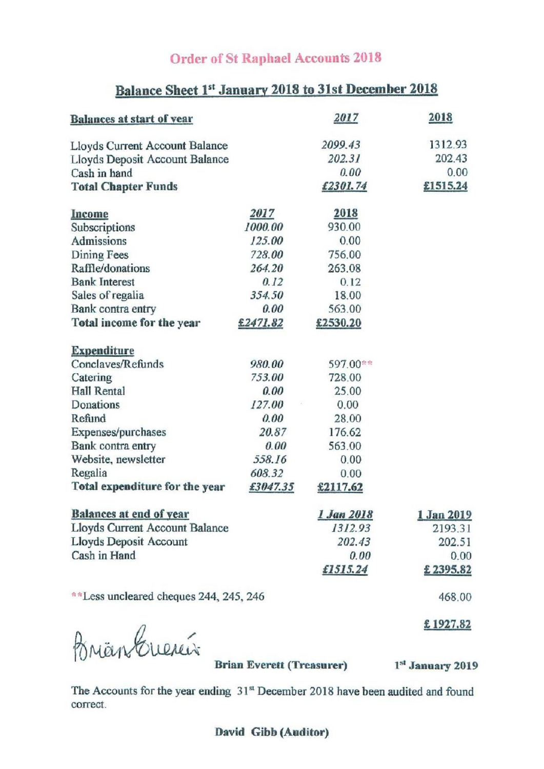# **Order of St Raphael Accounts 2018**

# Balance Sheet 1st January 2018 to 31st December 2018

| <b>Balances at start of year</b>       |          | 2017       | 2018              |
|----------------------------------------|----------|------------|-------------------|
| Lloyds Current Account Balance         |          | 2099.43    | 1312.93           |
| Lloyds Deposit Account Balance         |          | 202.31     | 202.43            |
| Cash in hand                           |          | 0.00       | 0.00              |
| <b>Total Chapter Funds</b>             |          | £2301.74   | £1515.24          |
| Income                                 | 2017     | 2018       |                   |
| Subscriptions                          | 1000.00  | 930.00     |                   |
| Admissions                             | 125.00   | 0.00       |                   |
| Dining Fees                            | 728.00   | 756.00     |                   |
| Raffle/donations                       | 264.20   | 263.08     |                   |
| <b>Bank Interest</b>                   | 0.12     | 0.12       |                   |
| Sales of regalia                       | 354.50   | 18.00      |                   |
| Bank contra entry                      | 0.00     | 563.00     |                   |
| Total income for the year              | £2471.82 | £2530.20   |                   |
| <b>Expenditure</b>                     |          |            |                   |
| Conclaves/Refunds                      | 980.00   | 597.00**   |                   |
| Catering                               | 753.00   | 728.00     |                   |
| Hall Rental                            | 0.00     | 25.00      |                   |
| Donations                              | 127.00   | 0.00       |                   |
| Refund                                 | 0.00     | 28.00      |                   |
| Expenses/purchases                     | 20.87    | 176.62     |                   |
| Bank contra entry                      | 0.00     | 563.00     |                   |
| Website, newsletter                    | 558.16   | 0.00       |                   |
| Regalia                                | 608.32   | 0.00       |                   |
| Total expenditure for the year         | £3047.35 | £2117.62   |                   |
| <b>Balances at end of year</b>         |          | 1 Jan 2018 | <u>1 Jan 2019</u> |
| Lloyds Current Account Balance         |          | 1312.93    | 2193.31           |
| Lloyds Deposit Account                 |          | 202.43     | 202.51            |
| Cash in Hand                           |          | 0.00       | 0.00              |
|                                        |          | £1515.24   | £2395.82          |
| **Less uncleared cheques 244, 245, 246 |          |            | 468.00            |
|                                        |          |            | £1927.82          |

BrianCuercis

**Brian Everett (Treasurer)** 

1st January 2019

The Accounts for the year ending 31st December 2018 have been audited and found correct.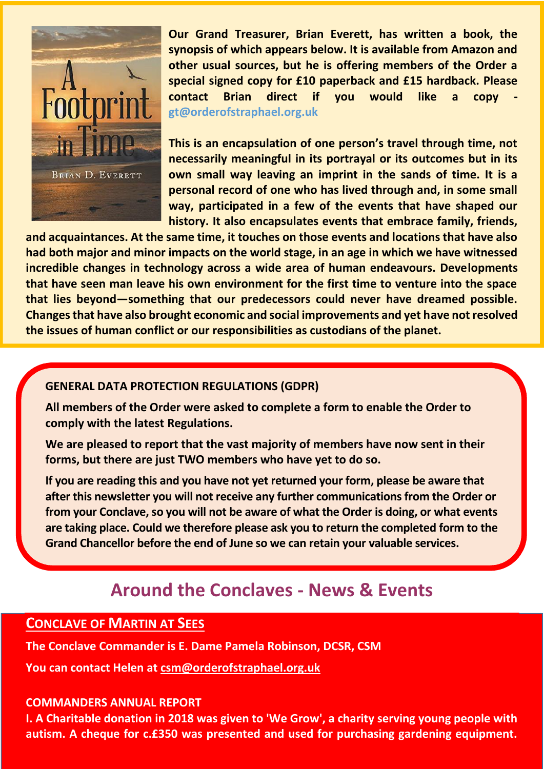

**Our Grand Treasurer, Brian Everett, has written a book, the synopsis of which appears below. It is available from Amazon and other usual sources, but he is offering members of the Order a special signed copy for £10 paperback and £15 hardback. Please contact Brian direct if you would like a copy gt@orderofstraphael.org.uk**

**This is an encapsulation of one person's travel through time, not necessarily meaningful in its portrayal or its outcomes but in its own small way leaving an imprint in the sands of time. It is a personal record of one who has lived through and, in some small way, participated in a few of the events that have shaped our history. It also encapsulates events that embrace family, friends,**

**and acquaintances. At the same time, it touches on those events and locations that have also had both major and minor impacts on the world stage, in an age in which we have witnessed incredible changes in technology across a wide area of human endeavours. Developments that have seen man leave his own environment for the first time to venture into the space that lies beyond—something that our predecessors could never have dreamed possible. Changes that have also brought economic and social improvements and yet have not resolved the issues of human conflict or our responsibilities as custodians of the planet.**

#### **GENERAL DATA PROTECTION REGULATIONS (GDPR)**

**All members of the Order were asked to complete a form to enable the Order to comply with the latest Regulations.**

**We are pleased to report that the vast majority of members have now sent in their forms, but there are just TWO members who have yet to do so.**

**If you are reading this and you have not yet returned your form, please be aware that after this newsletter you will not receive any further communications from the Order or from your Conclave, so you will not be aware of what the Order is doing, or what events are taking place. Could we therefore please ask you to return the completed form to the Grand Chancellor before the end of June so we can retain your valuable services.**

# **Around the Conclaves - News & Events**

# **CONCLAVE OF MARTIN AT SEES**

**The Conclave Commander is E. Dame Pamela Robinson, DCSR, CSM**

**You can contact Helen at csm@orderofstraphael.org.uk**

#### **COMMANDERS ANNUAL REPORT**

**I. A Charitable donation in 2018 was given to 'We Grow', a charity serving young people with autism. A cheque for c.£350 was presented and used for purchasing gardening equipment.**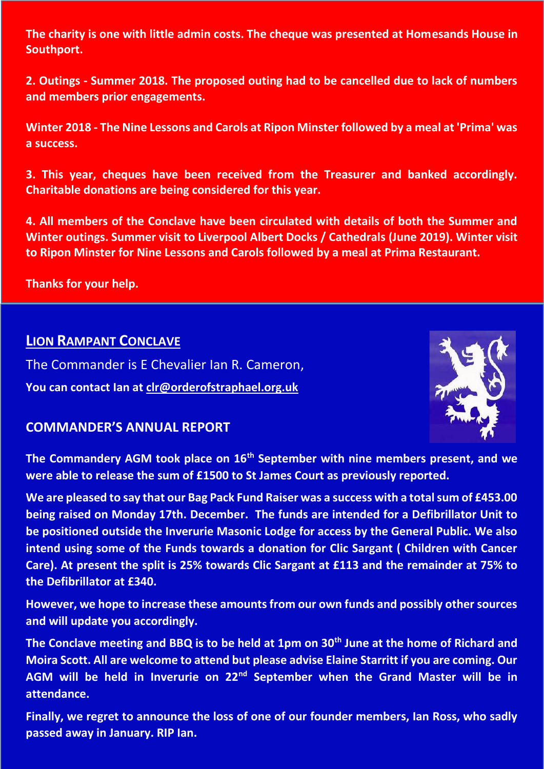**The charity is one with little admin costs. The cheque was presented at Homesands House in Southport.**

**2. Outings - Summer 2018. The proposed outing had to be cancelled due to lack of numbers and members prior engagements.**

**Winter 2018 - The Nine Lessons and Carols at Ripon Minster followed by a meal at 'Prima' was a success.**

**3. This year, cheques have been received from the Treasurer and banked accordingly. Charitable donations are being considered for this year.**

**4. All members of the Conclave have been circulated with details of both the Summer and Winter outings. Summer visit to Liverpool Albert Docks / Cathedrals (June 2019). Winter visit to Ripon Minster for Nine Lessons and Carols followed by a meal at Prima Restaurant.**

**Thanks for your help.**

## **LION RAMPANT CONCLAVE**

The Commander is E Chevalier Ian R. Cameron, **You can contact Ian at clr@orderofstraphael.org.uk**



### **COMMANDER'S ANNUAL REPORT**

**The Commandery AGM took place on 16th September with nine members present, and we were able to release the sum of £1500 to St James Court as previously reported.**

**We are pleased to say that our Bag Pack Fund Raiser was a success with a total sum of £453.00 being raised on Monday 17th. December. The funds are intended for a Defibrillator Unit to be positioned outside the Inverurie Masonic Lodge for access by the General Public. We also intend using some of the Funds towards a donation for Clic Sargant ( Children with Cancer Care). At present the split is 25% towards Clic Sargant at £113 and the remainder at 75% to the Defibrillator at £340.**

**However, we hope to increase these amounts from our own funds and possibly other sources and will update you accordingly.**

**The Conclave meeting and BBQ is to be held at 1pm on 30th June at the home of Richard and Moira Scott. All are welcome to attend but please advise Elaine Starritt if you are coming. Our AGM will be held in Inverurie on 22nd September when the Grand Master will be in attendance.**

**Finally, we regret to announce the loss of one of our founder members, Ian Ross, who sadly passed away in January. RIP Ian.**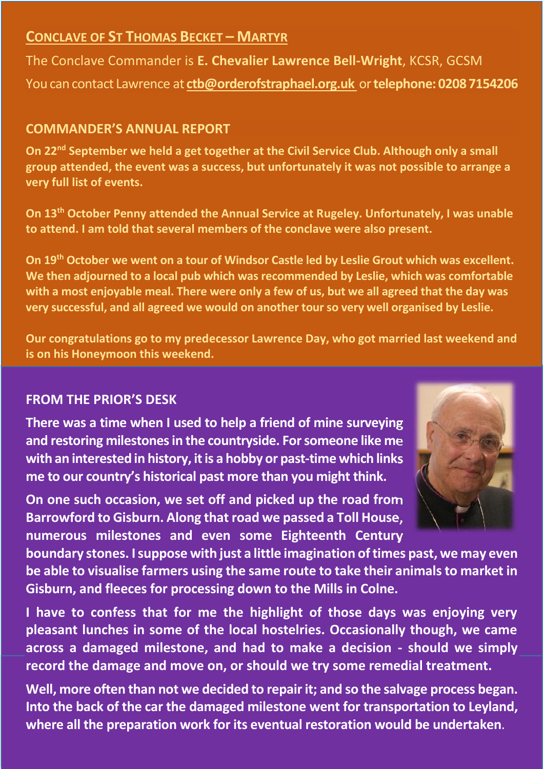# **CONCLAVE OF ST THOMAS BECKET – MARTYR**

The Conclave Commander is **E. Chevalier Lawrence Bell-Wright**, KCSR, GCSM You can contact Lawrence at **ctb@orderofstraphael.org.uk** or**telephone: 0208 7154206**

# **COMMANDER'S ANNUAL REPORT**

**On 22nd September we held a get together at the Civil Service Club. Although only a small group attended, the event was a success, but unfortunately it was not possible to arrange a very full list of events.**

**On 13th October Penny attended the Annual Service at Rugeley. Unfortunately, I was unable to attend. I am told that several members of the conclave were also present.**

**On 19th October we went on a tour of Windsor Castle led by Leslie Grout which was excellent. We then adjourned to a local pub which was recommended by Leslie, which was comfortable with a most enjoyable meal. There were only a few of us, but we all agreed that the day was very successful, and all agreed we would on another tour so very well organised by Leslie.**

**Our congratulations go to my predecessor Lawrence Day, who got married last weekend and is on his Honeymoon this weekend.**

# **FROM THE PRIOR'S DESK**

**There was a time when I used to help a friend of mine surveying and restoring milestones in the countryside. For someone like me with an interested in history, it is a hobby or past-time which links me to our country's historical past more than you might think.**

**On one such occasion, we set off and picked up the road from Barrowford to Gisburn. Along that road we passed a Toll House, numerous milestones and even some Eighteenth Century**



**boundary stones. I suppose with just a little imagination of times past, we may even be able to visualise farmers using the same route to take their animals to market in Gisburn, and fleeces for processing down to the Mills in Colne.**

**I have to confess that for me the highlight of those days was enjoying very pleasant lunches in some of the local hostelries. Occasionally though, we came across a damaged milestone, and had to make a decision - should we simply record the damage and move on, or should we try some remedial treatment.**

**Well, more often than not we decided to repair it; and so the salvage process began. Into the back of the car the damaged milestone went for transportation to Leyland, where all the preparation work for its eventual restoration would be undertaken**.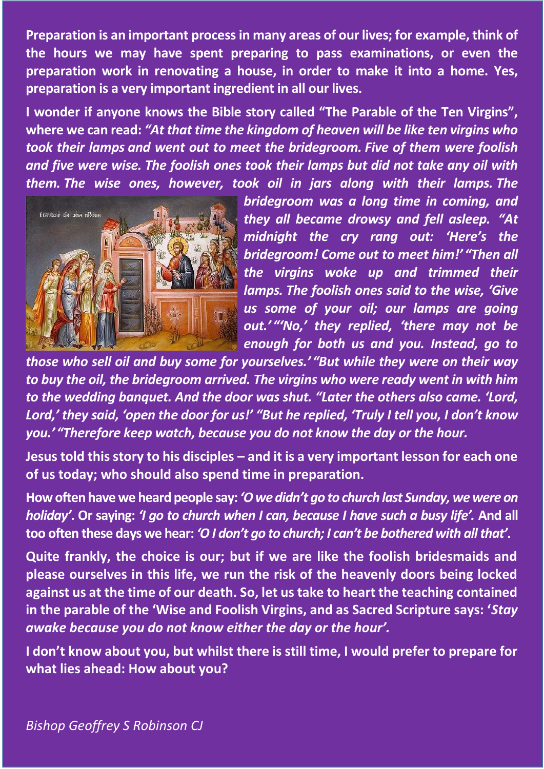**Preparation is an important process in many areas of our lives; for example, think of the hours we may have spent preparing to pass examinations, or even the preparation work in renovating a house, in order to make it into a home. Yes, preparation is a very important ingredient in all our lives.**

**I wonder if anyone knows the Bible story called "The Parable of the Ten Virgins", where we can read:** *"At that time the kingdom of heaven will be like ten virgins who took their lamps and went out to meet the bridegroom. Five of them were foolish and five were wise. The foolish ones took their lamps but did not take any oil with them. The wise ones, however, took oil in jars along with their lamps. The*



*bridegroom was a long time in coming, and they all became drowsy and fell asleep. "At midnight the cry rang out: 'Here's the bridegroom! Come out to meet him!' "Then all the virgins woke up and trimmed their lamps. The foolish ones said to the wise, 'Give us some of your oil; our lamps are going out.' "'No,' they replied, 'there may not be enough for both us and you. Instead, go to*

*those who sell oil and buy some for yourselves.' "But while they were on their way to buy the oil, the bridegroom arrived. The virgins who were ready went in with him to the wedding banquet. And the door was shut. "Later the others also came. 'Lord, Lord,' they said, 'open the door for us!' "But he replied, 'Truly I tell you, I don't know you.' "Therefore keep watch, because you do not know the day or the hour.*

**Jesus told this story to his disciples – and it is a very important lesson for each one of us today; who should also spend time in preparation.**

**How often have we heard people say:** *'O we didn't go to church last Sunday, we were on holiday'***. Or saying:** *'I go to church when I can, because I have such a busy life'.* **And all too often these days we hear:** *'O I don't go to church; I can't be bothered with all that'***.**

**Quite frankly, the choice is our; but if we are like the foolish bridesmaids and please ourselves in this life, we run the risk of the heavenly doors being locked against us at the time of our death. So, let us take to heart the teaching contained in the parable of the 'Wise and Foolish Virgins, and as Sacred Scripture says: '***Stay awake because you do not know either the day or the hour'.*

**I don't know about you, but whilst there is still time, I would prefer to prepare for what lies ahead: How about you?**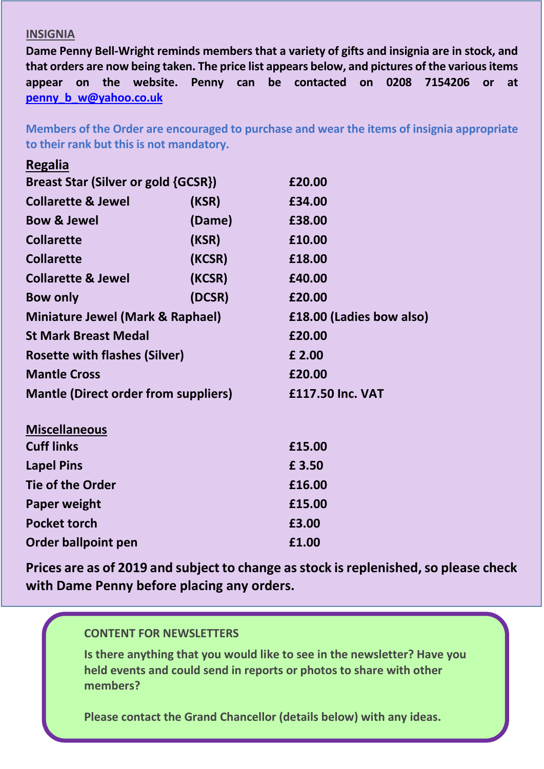#### **INSIGNIA**

**Regalia**

**Dame Penny Bell-Wright reminds members that a variety of gifts and insignia are in stock, and that orders are now being taken. The price list appears below, and pictures of the various items appear on the website. Penny can be contacted on 0208 7154206 or at penny\_b\_w@yahoo.co.uk**

**Members of the Order are encouraged to purchase and wear the items of insignia appropriate to their rank but this is not mandatory.**

| $1.65$ ana                                  |        |                          |
|---------------------------------------------|--------|--------------------------|
| Breast Star (Silver or gold {GCSR})         |        | £20.00                   |
| <b>Collarette &amp; Jewel</b>               | (KSR)  | £34.00                   |
| <b>Bow &amp; Jewel</b>                      | (Dame) | £38.00                   |
| <b>Collarette</b>                           | (KSR)  | £10.00                   |
| <b>Collarette</b>                           | (KCSR) | £18.00                   |
| <b>Collarette &amp; Jewel</b>               | (KCSR) | £40.00                   |
| <b>Bow only</b>                             | (DCSR) | £20.00                   |
| <b>Miniature Jewel (Mark &amp; Raphael)</b> |        | £18.00 (Ladies bow also) |
| <b>St Mark Breast Medal</b>                 |        | £20.00                   |
| <b>Rosette with flashes (Silver)</b>        |        | £ 2.00                   |
| <b>Mantle Cross</b>                         |        | £20.00                   |
| <b>Mantle (Direct order from suppliers)</b> |        | £117.50 Inc. VAT         |
| <b>Miscellaneous</b>                        |        |                          |
| <b>Cuff links</b>                           |        | £15.00                   |
| <b>Lapel Pins</b>                           |        | £3.50                    |
| <b>Tie of the Order</b>                     |        | £16.00                   |
|                                             |        |                          |
| <b>Paper weight</b>                         |        | £15.00                   |
| <b>Pocket torch</b>                         |        | £3.00                    |

**Prices are as of 2019 and subject to change as stock is replenished, so please check with Dame Penny before placing any orders.**

#### **CONTENT FOR NEWSLETTERS**

**Order ballpoint pen E1.00** 

**Is there anything that you would like to see in the newsletter? Have you held events and could send in reports or photos to share with other members?**

**Please contact the Grand Chancellor (details below) with any ideas.**